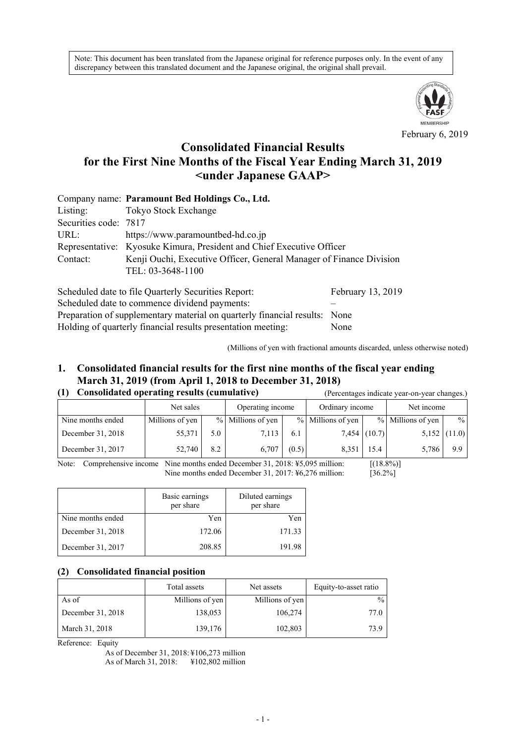Note: This document has been translated from the Japanese original for reference purposes only. In the event of any discrepancy between this translated document and the Japanese original, the original shall prevail.



February 6, 2019

# **Consolidated Financial Results for the First Nine Months of the Fiscal Year Ending March 31, 2019 <under Japanese GAAP>**

|                       | Company name: Paramount Bed Holdings Co., Ltd.                        |                   |  |  |  |  |  |
|-----------------------|-----------------------------------------------------------------------|-------------------|--|--|--|--|--|
| Listing:              | Tokyo Stock Exchange                                                  |                   |  |  |  |  |  |
| Securities code: 7817 |                                                                       |                   |  |  |  |  |  |
| URL:                  | https://www.paramountbed-hd.co.jp                                     |                   |  |  |  |  |  |
|                       | Representative: Kyosuke Kimura, President and Chief Executive Officer |                   |  |  |  |  |  |
| Contact:              | Kenji Ouchi, Executive Officer, General Manager of Finance Division   |                   |  |  |  |  |  |
| TEL: 03-3648-1100     |                                                                       |                   |  |  |  |  |  |
|                       | Scheduled date to file Quarterly Securities Report:                   | February 13, 2019 |  |  |  |  |  |

Scheduled date to commence dividend payments: – Preparation of supplementary material on quarterly financial results: None Holding of quarterly financial results presentation meeting: None

(Millions of yen with fractional amounts discarded, unless otherwise noted)

# **1. Consolidated financial results for the first nine months of the fiscal year ending March 31, 2019 (from April 1, 2018 to December 31, 2018)**

|  | (1) Consolidated operating results (cumulative) |  |
|--|-------------------------------------------------|--|
|  |                                                 |  |

| Consolidated operating results (cumulative)<br>(1) |                 |     |                   | (Percentages indicate year-on-year changes.) |                   |                |                   |                |
|----------------------------------------------------|-----------------|-----|-------------------|----------------------------------------------|-------------------|----------------|-------------------|----------------|
|                                                    | Net sales       |     | Operating income  |                                              | Ordinary income   |                | Net income        |                |
| Nine months ended                                  | Millions of yen |     | % Millions of yen |                                              | % Millions of yen |                | % Millions of yen | $\frac{0}{0}$  |
| December 31, 2018                                  | 55,371          | 5.0 | 7,113             | 6.1                                          |                   | $7,454$ (10.7) |                   | $5,152$ (11.0) |
| December 31, 2017                                  | 52,740          | 8.2 | 6.707             | (0.5)                                        | 8.351             | 15.4           | 5,786             | 9.9            |

Note: Comprehensive income Nine months ended December 31, 2018: ¥5,095 million: [(18.8%)] Nine months ended December 31, 2017: ¥6,276 million: [36.2%]

|                   | Basic earnings<br>per share | Diluted earnings<br>per share |
|-------------------|-----------------------------|-------------------------------|
| Nine months ended | Yen                         | Yen                           |
| December 31, 2018 | 172.06                      | 171.33                        |
| December 31, 2017 | 208.85                      | 191.98                        |

#### **(2) Consolidated financial position**

|                   | Total assets    | Net assets      | Equity-to-asset ratio |
|-------------------|-----------------|-----------------|-----------------------|
| As of             | Millions of yen | Millions of yen | $\frac{0}{0}$         |
| December 31, 2018 | 138,053         | 106,274         | 77.0                  |
| March 31, 2018    | 139,176         | 102,803         | 73.9                  |

Reference: Equity

As of December 31, 2018: ¥106,273 million As of March 31, 2018: ¥102,802 million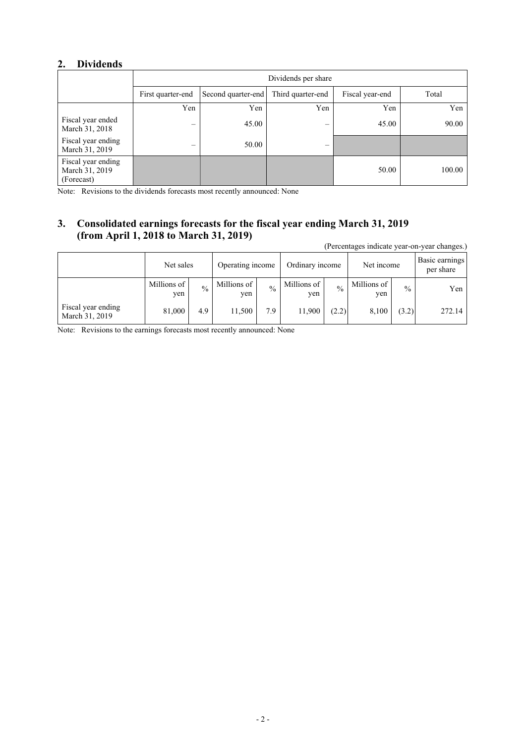### **2. Dividends**

|                                                    | Dividends per share      |                    |                          |                 |        |  |  |  |
|----------------------------------------------------|--------------------------|--------------------|--------------------------|-----------------|--------|--|--|--|
|                                                    | First quarter-end        | Second quarter-end | Third quarter-end        | Fiscal year-end | Total  |  |  |  |
|                                                    | Yen                      | Yen                | Yen                      | Yen             | Yen    |  |  |  |
| Fiscal year ended<br>March 31, 2018                | $\overline{\phantom{0}}$ | 45.00              | $\overline{\phantom{0}}$ | 45.00           | 90.00  |  |  |  |
| Fiscal year ending<br>March 31, 2019               |                          | 50.00              |                          |                 |        |  |  |  |
| Fiscal year ending<br>March 31, 2019<br>(Forecast) |                          |                    |                          | 50.00           | 100.00 |  |  |  |

Note: Revisions to the dividends forecasts most recently announced: None

# **3. Consolidated earnings forecasts for the fiscal year ending March 31, 2019 (from April 1, 2018 to March 31, 2019)**

(Percentages indicate year-on-year changes.)

|                                      | Net sales            |               | Operating income   |               | Ordinary income    |               | Net income         |               | Basic earnings<br>per share |
|--------------------------------------|----------------------|---------------|--------------------|---------------|--------------------|---------------|--------------------|---------------|-----------------------------|
|                                      | Millions of 1<br>yen | $\frac{0}{0}$ | Millions of<br>yen | $\frac{0}{0}$ | Millions of<br>ven | $\frac{0}{0}$ | Millions of<br>yen | $\frac{0}{0}$ | Yen                         |
| Fiscal year ending<br>March 31, 2019 | 81,000               | 4.9           | 11,500             | 7.9           | 11,900             | (2.2)         | 8.100              | (3.2)         | 272.14                      |

Note: Revisions to the earnings forecasts most recently announced: None